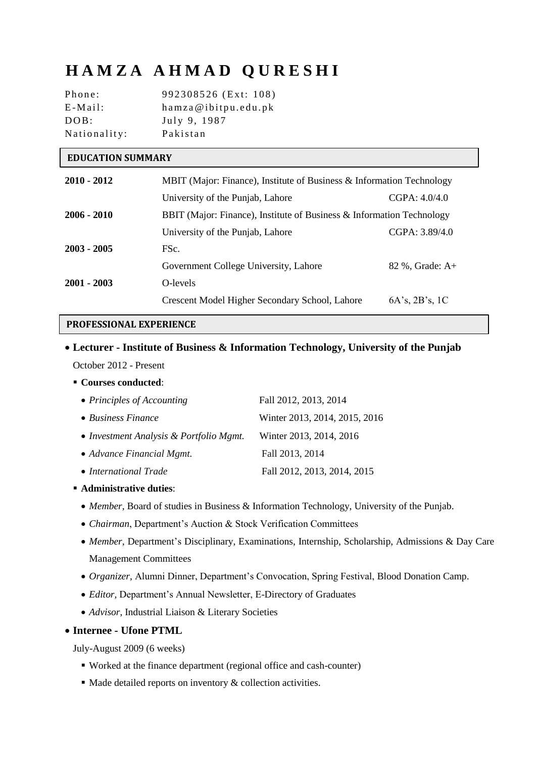# **H A M Z A A H M A D Q U R E S H I**

| Phone:       | 992308526 (Ext: 108) |
|--------------|----------------------|
| $E-Mail:$    | hamza@ibitpu.edu.pk  |
| DOB:         | July 9, 1987         |
| Nationality: | Pakistan             |

#### **EDUCATION SUMMARY**

| $2010 - 2012$ | MBIT (Major: Finance), Institute of Business & Information Technology |                        |
|---------------|-----------------------------------------------------------------------|------------------------|
|               | University of the Punjab, Lahore                                      | CGPA: 4.0/4.0          |
| $2006 - 2010$ | BBIT (Major: Finance), Institute of Business & Information Technology |                        |
|               | University of the Punjab, Lahore                                      | CGPA: 3.89/4.0         |
| $2003 - 2005$ | FSc.                                                                  |                        |
|               | Government College University, Lahore                                 | 82 %, Grade: A+        |
| $2001 - 2003$ | O-levels                                                              |                        |
|               | Crescent Model Higher Secondary School, Lahore                        | $6A$ 's, $2B$ 's, $1C$ |

#### **PROFESSIONAL EXPERIENCE**

# **Lecturer - Institute of Business & Information Technology, University of the Punjab**  October 2012 - Present

**Courses conducted**:

| • Principles of Accounting              | Fall 2012, 2013, 2014         |
|-----------------------------------------|-------------------------------|
| $\bullet$ Business Finance              | Winter 2013, 2014, 2015, 2016 |
| • Investment Analysis & Portfolio Mgmt. | Winter 2013, 2014, 2016       |
| • Advance Financial Mgmt.               | Fall 2013, 2014               |
| • International Trade                   | Fall 2012, 2013, 2014, 2015   |

- **Administrative duties**:
	- *Member,* Board of studies in Business & Information Technology, University of the Punjab.
	- *Chairman*, Department's Auction & Stock Verification Committees
	- *Member*, Department's Disciplinary, Examinations, Internship, Scholarship, Admissions & Day Care Management Committees
	- *Organizer,* Alumni Dinner, Department's Convocation, Spring Festival, Blood Donation Camp.
	- *Editor,* Department's Annual Newsletter, E-Directory of Graduates
	- *Advisor*, Industrial Liaison & Literary Societies

#### **Internee - Ufone PTML**

July-August 2009 (6 weeks)

- Worked at the finance department (regional office and cash-counter)
- $\blacksquare$  Made detailed reports on inventory & collection activities.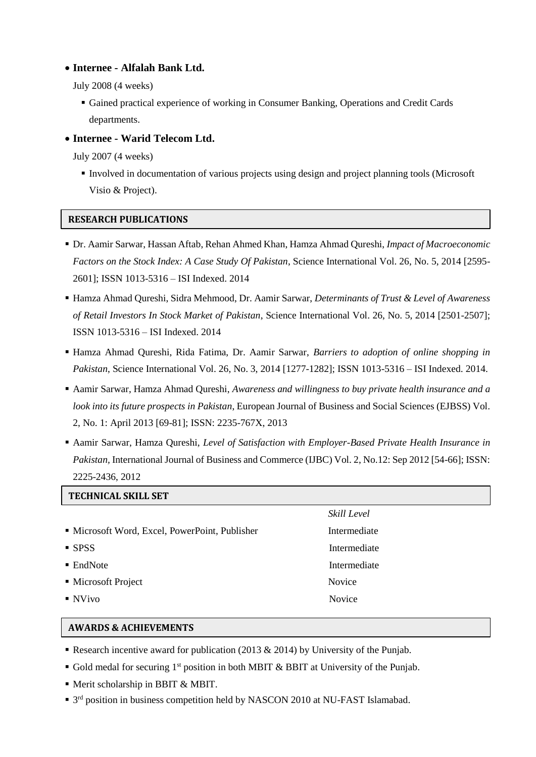#### **Internee - Alfalah Bank Ltd.**

July 2008 (4 weeks)

- Gained practical experience of working in Consumer Banking, Operations and Credit Cards departments.
- **Internee - Warid Telecom Ltd.**

July 2007 (4 weeks)

 Involved in documentation of various projects using design and project planning tools (Microsoft Visio & Project).

### **RESEARCH PUBLICATIONS**

- Dr. Aamir Sarwar, Hassan Aftab, Rehan Ahmed Khan, Hamza Ahmad Qureshi, *Impact of Macroeconomic Factors on the Stock Index: A Case Study Of Pakistan*, Science International Vol. 26, No. 5, 2014 [2595- 2601]; ISSN 1013-5316 – ISI Indexed. 2014
- Hamza Ahmad Qureshi, Sidra Mehmood, Dr. Aamir Sarwar, *Determinants of Trust & Level of Awareness of Retail Investors In Stock Market of Pakistan*, Science International Vol. 26, No. 5, 2014 [2501-2507]; ISSN 1013-5316 – ISI Indexed. 2014
- Hamza Ahmad Qureshi, Rida Fatima, Dr. Aamir Sarwar, *Barriers to adoption of online shopping in Pakistan*, Science International Vol. 26, No. 3, 2014 [1277-1282]; ISSN 1013-5316 – ISI Indexed. 2014.
- Aamir Sarwar, Hamza Ahmad Qureshi, *Awareness and willingness to buy private health insurance and a look into its future prospects in Pakistan*, European Journal of Business and Social Sciences (EJBSS) Vol. 2, No. 1: April 2013 [69-81]; ISSN: 2235-767X, 2013
- Aamir Sarwar, Hamza Qureshi, *Level of Satisfaction with Employer-Based Private Health Insurance in Pakistan,* International Journal of Business and Commerce (IJBC) Vol. 2, No.12: Sep 2012 [54-66]; ISSN: 2225-2436, 2012

| <b>TECHNICAL SKILL SET</b>                     |               |
|------------------------------------------------|---------------|
|                                                | Skill Level   |
| • Microsoft Word, Excel, PowerPoint, Publisher | Intermediate  |
| $-$ SPSS                                       | Intermediate  |
| $\blacksquare$ EndNote                         | Intermediate  |
| • Microsoft Project                            | Novice        |
| $\blacksquare$ NVivo                           | <b>Novice</b> |

#### **AWARDS & ACHIEVEMENTS**

- Research incentive award for publication (2013  $& 2014$ ) by University of the Punjab.
- Gold medal for securing  $1<sup>st</sup>$  position in both MBIT & BBIT at University of the Punjab.
- Merit scholarship in BBIT & MBIT.
- <sup>3rd</sup> position in business competition held by NASCON 2010 at NU-FAST Islamabad.